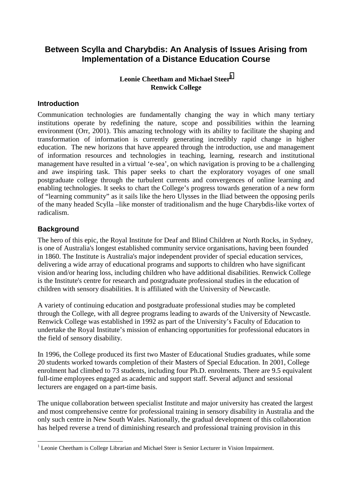# **Between Scylla and Charybdis: An Analysis of Issues Arising from Implementation of a Distance Education Course**

# **Leonie Cheetham and Michael Steer<sup>1</sup> Renwick College**

# **Introduction**

Communication technologies are fundamentally changing the way in which many tertiary institutions operate by redefining the nature, scope and possibilities within the learning environment (Orr, 2001). This amazing technology with its ability to facilitate the shaping and transformation of information is currently generating incredibly rapid change in higher education. The new horizons that have appeared through the introduction, use and management of information resources and technologies in teaching, learning, research and institutional management have resulted in a virtual 'e-sea', on which navigation is proving to be a challenging and awe inspiring task. This paper seeks to chart the exploratory voyages of one small postgraduate college through the turbulent currents and convergences of online learning and enabling technologies. It seeks to chart the College's progress towards generation of a new form of "learning community" as it sails like the hero Ulysses in the Iliad between the opposing perils of the many headed Scylla –like monster of traditionalism and the huge Charybdis-like vortex of radicalism.

# **Background**

l

The hero of this epic, the Royal Institute for Deaf and Blind Children at North Rocks, in Sydney, is one of Australia's longest established community service organisations, having been founded in 1860. The Institute is Australia's major independent provider of special education services, delivering a wide array of educational programs and supports to children who have significant vision and/or hearing loss, including children who have additional disabilities. Renwick College is the Institute's centre for research and postgraduate professional studies in the education of children with sensory disabilities. It is affiliated with the University of Newcastle.

A variety of continuing education and postgraduate professional studies may be completed through the College, with all degree programs leading to awards of the University of Newcastle. Renwick College was established in 1992 as part of the University's Faculty of Education to undertake the Royal Institute's mission of enhancing opportunities for professional educators in the field of sensory disability.

In 1996, the College produced its first two Master of Educational Studies graduates, while some 20 students worked towards completion of their Masters of Special Education. In 2001, College enrolment had climbed to 73 students, including four Ph.D. enrolments. There are 9.5 equivalent full-time employees engaged as academic and support staff. Several adjunct and sessional lecturers are engaged on a part-time basis.

The unique collaboration between specialist Institute and major university has created the largest and most comprehensive centre for professional training in sensory disability in Australia and the only such centre in New South Wales. Nationally, the gradual development of this collaboration has helped reverse a trend of diminishing research and professional training provision in this

<sup>&</sup>lt;sup>1</sup> Leonie Cheetham is College Librarian and Michael Steer is Senior Lecturer in Vision Impairment.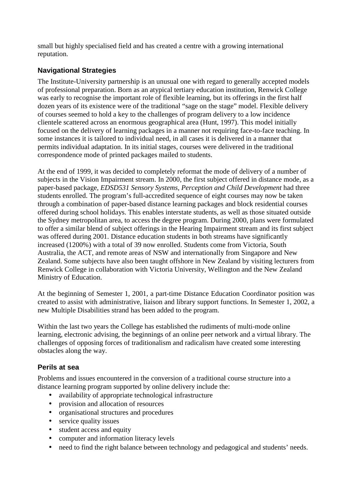small but highly specialised field and has created a centre with a growing international reputation.

# **Navigational Strategies**

The Institute-University partnership is an unusual one with regard to generally accepted models of professional preparation. Born as an atypical tertiary education institution, Renwick College was early to recognise the important role of flexible learning, but its offerings in the first half dozen years of its existence were of the traditional "sage on the stage" model. Flexible delivery of courses seemed to hold a key to the challenges of program delivery to a low incidence clientele scattered across an enormous geographical area (Hunt, 1997). This model initially focused on the delivery of learning packages in a manner not requiring face-to-face teaching. In some instances it is tailored to individual need, in all cases it is delivered in a manner that permits individual adaptation. In its initial stages, courses were delivered in the traditional correspondence mode of printed packages mailed to students.

At the end of 1999, it was decided to completely reformat the mode of delivery of a number of subjects in the Vision Impairment stream. In 2000, the first subject offered in distance mode, as a paper-based package, *EDSD531 Sensory Systems, Perception and Child Development* had three students enrolled. The program's full-accredited sequence of eight courses may now be taken through a combination of paper-based distance learning packages and block residential courses offered during school holidays. This enables interstate students, as well as those situated outside the Sydney metropolitan area, to access the degree program. During 2000, plans were formulated to offer a similar blend of subject offerings in the Hearing Impairment stream and its first subject was offered during 2001. Distance education students in both streams have significantly increased (1200%) with a total of 39 now enrolled. Students come from Victoria, South Australia, the ACT, and remote areas of NSW and internationally from Singapore and New Zealand. Some subjects have also been taught offshore in New Zealand by visiting lecturers from Renwick College in collaboration with Victoria University, Wellington and the New Zealand Ministry of Education.

At the beginning of Semester 1, 2001, a part-time Distance Education Coordinator position was created to assist with administrative, liaison and library support functions. In Semester 1, 2002, a new Multiple Disabilities strand has been added to the program.

Within the last two years the College has established the rudiments of multi-mode online learning, electronic advising, the beginnings of an online peer network and a virtual library. The challenges of opposing forces of traditionalism and radicalism have created some interesting obstacles along the way.

# **Perils at sea**

Problems and issues encountered in the conversion of a traditional course structure into a distance learning program supported by online delivery include the:

- availability of appropriate technological infrastructure
- provision and allocation of resources
- organisational structures and procedures
- service quality issues
- student access and equity
- computer and information literacy levels
- need to find the right balance between technology and pedagogical and students' needs.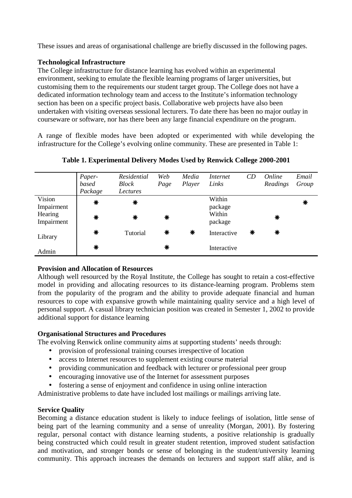These issues and areas of organisational challenge are briefly discussed in the following pages.

# **Technological Infrastructure**

The College infrastructure for distance learning has evolved within an experimental environment, seeking to emulate the flexible learning programs of larger universities, but customising them to the requirements our student target group. The College does not have a dedicated information technology team and access to the Institute's information technology section has been on a specific project basis. Collaborative web projects have also been undertaken with visiting overseas sessional lecturers. To date there has been no major outlay in courseware or software, nor has there been any large financial expenditure on the program.

A range of flexible modes have been adopted or experimented with while developing the infrastructure for the College's evolving online community. These are presented in Table 1:

|            | Paper-  | Residential  | Web  | Media  | Internet    | CD | Online   | Email |
|------------|---------|--------------|------|--------|-------------|----|----------|-------|
|            | based   | <b>Block</b> | Page | Player | Links       |    | Readings | Group |
|            | Package | Lectures     |      |        |             |    |          |       |
| Vision     | ₩       | ₩            |      |        | Within      |    |          | ₩     |
| Impairment |         |              |      |        | package     |    |          |       |
| Hearing    | ₩       | ₩            | ₩    |        | Within      |    | ₩        |       |
| Impairment |         |              |      |        | package     |    |          |       |
|            | ₩       | Tutorial     | ₩    | ₩      | Interactive | ₩  | ₩        |       |
| Library    |         |              |      |        |             |    |          |       |
|            | ₩       |              | ₩    |        | Interactive |    |          |       |
| Admin      |         |              |      |        |             |    |          |       |

**Table 1. Experimental Delivery Modes Used by Renwick College 2000-2001**

# **Provision and Allocation of Resources**

Although well resourced by the Royal Institute, the College has sought to retain a cost-effective model in providing and allocating resources to its distance-learning program. Problems stem from the popularity of the program and the ability to provide adequate financial and human resources to cope with expansive growth while maintaining quality service and a high level of personal support. A casual library technician position was created in Semester 1, 2002 to provide additional support for distance learning

## **Organisational Structures and Procedures**

The evolving Renwick online community aims at supporting students' needs through:

- provision of professional training courses irrespective of location
- access to Internet resources to supplement existing course material
- providing communication and feedback with lecturer or professional peer group
- encouraging innovative use of the Internet for assessment purposes
- fostering a sense of enjoyment and confidence in using online interaction

Administrative problems to date have included lost mailings or mailings arriving late.

## **Service Quality**

Becoming a distance education student is likely to induce feelings of isolation, little sense of being part of the learning community and a sense of unreality (Morgan, 2001). By fostering regular, personal contact with distance learning students, a positive relationship is gradually being constructed which could result in greater student retention, improved student satisfaction and motivation, and stronger bonds or sense of belonging in the student/university learning community. This approach increases the demands on lecturers and support staff alike, and is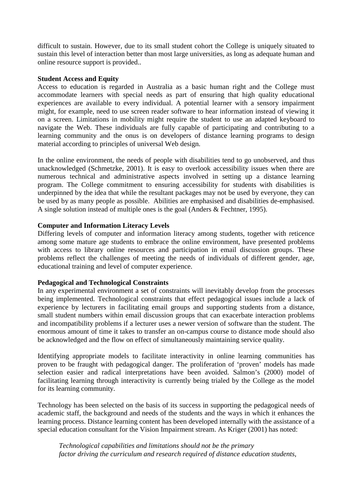difficult to sustain. However, due to its small student cohort the College is uniquely situated to sustain this level of interaction better than most large universities, as long as adequate human and online resource support is provided..

#### **Student Access and Equity**

Access to education is regarded in Australia as a basic human right and the College must accommodate learners with special needs as part of ensuring that high quality educational experiences are available to every individual. A potential learner with a sensory impairment might, for example, need to use screen reader software to hear information instead of viewing it on a screen. Limitations in mobility might require the student to use an adapted keyboard to navigate the Web. These individuals are fully capable of participating and contributing to a learning community and the onus is on developers of distance learning programs to design material according to principles of universal Web design.

In the online environment, the needs of people with disabilities tend to go unobserved, and thus unacknowledged (Schmetzke, 2001). It is easy to overlook accessibility issues when there are numerous technical and administrative aspects involved in setting up a distance learning program. The College commitment to ensuring accessibility for students with disabilities is underpinned by the idea that while the resultant packages may not be used by everyone, they can be used by as many people as possible. Abilities are emphasised and disabilities de-emphasised. A single solution instead of multiple ones is the goal (Anders & Fechtner, 1995).

## **Computer and Information Literacy Levels**

Differing levels of computer and information literacy among students, together with reticence among some mature age students to embrace the online environment, have presented problems with access to library online resources and participation in email discussion groups. These problems reflect the challenges of meeting the needs of individuals of different gender, age, educational training and level of computer experience.

## **Pedagogical and Technological Constraints**

In any experimental environment a set of constraints will inevitably develop from the processes being implemented. Technological constraints that effect pedagogical issues include a lack of experience by lecturers in facilitating email groups and supporting students from a distance, small student numbers within email discussion groups that can exacerbate interaction problems and incompatibility problems if a lecturer uses a newer version of software than the student. The enormous amount of time it takes to transfer an on-campus course to distance mode should also be acknowledged and the flow on effect of simultaneously maintaining service quality.

Identifying appropriate models to facilitate interactivity in online learning communities has proven to be fraught with pedagogical danger. The proliferation of 'proven' models has made selection easier and radical interpretations have been avoided. Salmon's (2000) model of facilitating learning through interactivity is currently being trialed by the College as the model for its learning community.

Technology has been selected on the basis of its success in supporting the pedagogical needs of academic staff, the background and needs of the students and the ways in which it enhances the learning process. Distance learning content has been developed internally with the assistance of a special education consultant for the Vision Impairment stream. As Kriger (2001) has noted:

*Technological capabilities and limitations should not be the primary factor driving the curriculum and research required of distance education students,*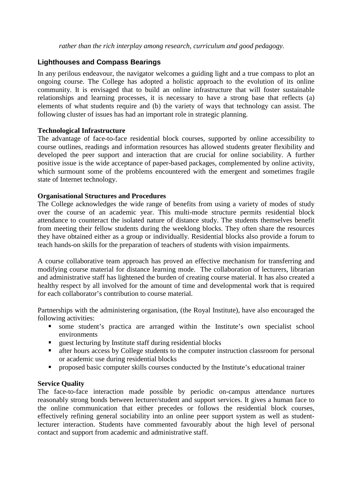*rather than the rich interplay among research, curriculum and good pedagogy.* 

# **Lighthouses and Compass Bearings**

In any perilous endeavour, the navigator welcomes a guiding light and a true compass to plot an ongoing course. The College has adopted a holistic approach to the evolution of its online community. It is envisaged that to build an online infrastructure that will foster sustainable relationships and learning processes, it is necessary to have a strong base that reflects (a) elements of what students require and (b) the variety of ways that technology can assist. The following cluster of issues has had an important role in strategic planning.

#### **Technological Infrastructure**

The advantage of face-to-face residential block courses, supported by online accessibility to course outlines, readings and information resources has allowed students greater flexibility and developed the peer support and interaction that are crucial for online sociability. A further positive issue is the wide acceptance of paper-based packages, complemented by online activity, which surmount some of the problems encountered with the emergent and sometimes fragile state of Internet technology.

#### **Organisational Structures and Procedures**

The College acknowledges the wide range of benefits from using a variety of modes of study over the course of an academic year. This multi-mode structure permits residential block attendance to counteract the isolated nature of distance study. The students themselves benefit from meeting their fellow students during the weeklong blocks. They often share the resources they have obtained either as a group or individually. Residential blocks also provide a forum to teach hands-on skills for the preparation of teachers of students with vision impairments.

A course collaborative team approach has proved an effective mechanism for transferring and modifying course material for distance learning mode. The collaboration of lecturers, librarian and administrative staff has lightened the burden of creating course material. It has also created a healthy respect by all involved for the amount of time and developmental work that is required for each collaborator's contribution to course material.

Partnerships with the administering organisation, (the Royal Institute), have also encouraged the following activities:

- some student's practica are arranged within the Institute's own specialist school environments
- guest lecturing by Institute staff during residential blocks
- after hours access by College students to the computer instruction classroom for personal or academic use during residential blocks
- **PEDRO** proposed basic computer skills courses conducted by the Institute's educational trainer

## **Service Quality**

The face-to-face interaction made possible by periodic on-campus attendance nurtures reasonably strong bonds between lecturer/student and support services. It gives a human face to the online communication that either precedes or follows the residential block courses, effectively refining general sociability into an online peer support system as well as studentlecturer interaction. Students have commented favourably about the high level of personal contact and support from academic and administrative staff.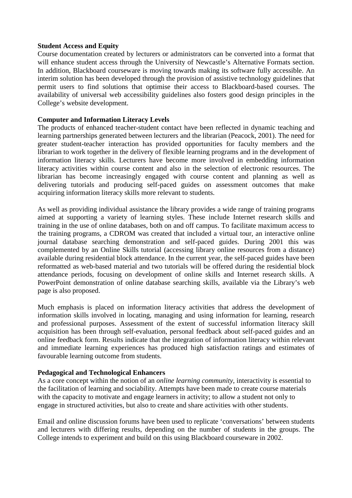#### **Student Access and Equity**

Course documentation created by lecturers or administrators can be converted into a format that will enhance student access through the University of Newcastle's Alternative Formats section. In addition, Blackboard courseware is moving towards making its software fully accessible. An interim solution has been developed through the provision of assistive technology guidelines that permit users to find solutions that optimise their access to Blackboard-based courses. The availability of universal web accessibility guidelines also fosters good design principles in the College's website development.

#### **Computer and Information Literacy Levels**

The products of enhanced teacher-student contact have been reflected in dynamic teaching and learning partnerships generated between lecturers and the librarian (Peacock, 2001). The need for greater student-teacher interaction has provided opportunities for faculty members and the librarian to work together in the delivery of flexible learning programs and in the development of information literacy skills. Lecturers have become more involved in embedding information literacy activities within course content and also in the selection of electronic resources. The librarian has become increasingly engaged with course content and planning as well as delivering tutorials and producing self-paced guides on assessment outcomes that make acquiring information literacy skills more relevant to students.

As well as providing individual assistance the library provides a wide range of training programs aimed at supporting a variety of learning styles. These include Internet research skills and training in the use of online databases, both on and off campus. To facilitate maximum access to the training programs, a CDROM was created that included a virtual tour, an interactive online journal database searching demonstration and self-paced guides. During 2001 this was complemented by an Online Skills tutorial (accessing library online resources from a distance) available during residential block attendance. In the current year, the self-paced guides have been reformatted as web-based material and two tutorials will be offered during the residential block attendance periods, focusing on development of online skills and Internet research skills. A PowerPoint demonstration of online database searching skills, available via the Library's web page is also proposed.

Much emphasis is placed on information literacy activities that address the development of information skills involved in locating, managing and using information for learning, research and professional purposes. Assessment of the extent of successful information literacy skill acquisition has been through self-evaluation, personal feedback about self-paced guides and an online feedback form. Results indicate that the integration of information literacy within relevant and immediate learning experiences has produced high satisfaction ratings and estimates of favourable learning outcome from students.

#### **Pedagogical and Technological Enhancers**

As a core concept within the notion of an *online learning community*, interactivity is essential to the facilitation of learning and sociability. Attempts have been made to create course materials with the capacity to motivate and engage learners in activity; to allow a student not only to engage in structured activities, but also to create and share activities with other students.

Email and online discussion forums have been used to replicate 'conversations' between students and lecturers with differing results, depending on the number of students in the groups. The College intends to experiment and build on this using Blackboard courseware in 2002.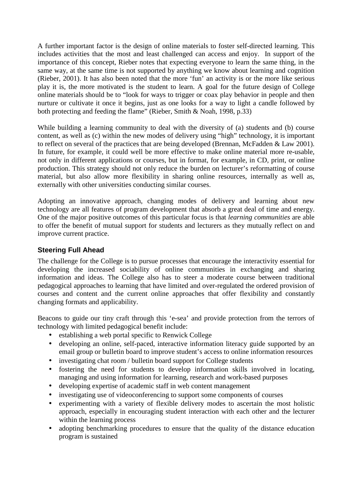A further important factor is the design of online materials to foster self-directed learning. This includes activities that the most and least challenged can access and enjoy. In support of the importance of this concept, Rieber notes that expecting everyone to learn the same thing, in the same way, at the same time is not supported by anything we know about learning and cognition (Rieber, 2001). It has also been noted that the more 'fun' an activity is or the more like serious play it is, the more motivated is the student to learn. A goal for the future design of College online materials should be to "look for ways to trigger or coax play behavior in people and then nurture or cultivate it once it begins, just as one looks for a way to light a candle followed by both protecting and feeding the flame" (Rieber, Smith & Noah, 1998, p.33)

While building a learning community to deal with the diversity of (a) students and (b) course content, as well as (c) within the new modes of delivery using "high" technology, it is important to reflect on several of the practices that are being developed (Brennan, McFadden & Law 2001). In future, for example, it could well be more effective to make online material more re-usable, not only in different applications or courses, but in format, for example, in CD, print, or online production. This strategy should not only reduce the burden on lecturer's reformatting of course material, but also allow more flexibility in sharing online resources, internally as well as, externally with other universities conducting similar courses.

Adopting an innovative approach, changing modes of delivery and learning about new technology are all features of program development that absorb a great deal of time and energy. One of the major positive outcomes of this particular focus is that *learning communities* are able to offer the benefit of mutual support for students and lecturers as they mutually reflect on and improve current practice.

## **Steering Full Ahead**

The challenge for the College is to pursue processes that encourage the interactivity essential for developing the increased sociability of online communities in exchanging and sharing information and ideas. The College also has to steer a moderate course between traditional pedagogical approaches to learning that have limited and over-regulated the ordered provision of courses and content and the current online approaches that offer flexibility and constantly changing formats and applicability.

Beacons to guide our tiny craft through this 'e-sea' and provide protection from the terrors of technology with limited pedagogical benefit include:

- establishing a web portal specific to Renwick College
- developing an online, self-paced, interactive information literacy guide supported by an email group or bulletin board to improve student's access to online information resources
- investigating chat room / bulletin board support for College students
- fostering the need for students to develop information skills involved in locating, managing and using information for learning, research and work-based purposes
- developing expertise of academic staff in web content management
- investigating use of videoconferencing to support some components of courses
- experimenting with a variety of flexible delivery modes to ascertain the most holistic approach, especially in encouraging student interaction with each other and the lecturer within the learning process
- adopting benchmarking procedures to ensure that the quality of the distance education program is sustained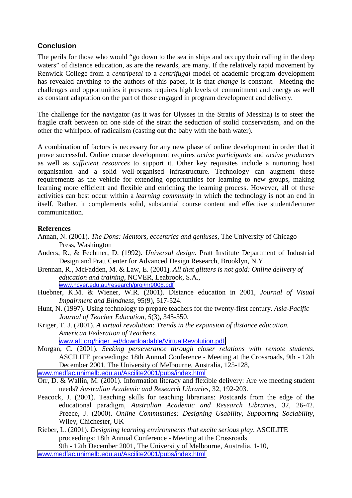# **Conclusion**

The perils for those who would "go down to the sea in ships and occupy their calling in the deep waters" of distance education, as are the rewards, are many. If the relatively rapid movement by Renwick College from a *centripetal* to a *centrifugal* model of academic program development has revealed anything to the authors of this paper, it is that *change* is constant. Meeting the challenges and opportunities it presents requires high levels of commitment and energy as well as constant adaptation on the part of those engaged in program development and delivery.

The challenge for the navigator (as it was for Ulysses in the Straits of Messina) is to steer the fragile craft between on one side of the strait the seduction of stolid conservatism, and on the other the whirlpool of radicalism (casting out the baby with the bath water).

A combination of factors is necessary for any new phase of online development in order that it prove successful. Online course development requires *active participants* and *active producers* as well as *sufficient resources* to support it. Other key requisites include a nurturing host organisation and a solid well-organised infrastructure. Technology can augment these requirements as the vehicle for extending opportunities for learning to new groups, making learning more efficient and flexible and enriching the learning process. However, all of these activities can best occur within a *learning community* in which the technology is not an end in itself. Rather, it complements solid, substantial course content and effective student/lecturer communication.

#### **References**

- Annan, N. (2001). *The Dons: Mentors, eccentrics and geniuses*, The University of Chicago Press, Washington
- Anders, R., & Fechtner, D. (1992). *Universal design*. Pratt Institute Department of Industrial Design and Pratt Center for Advanced Design Research, Brooklyn, N.Y.
- Brennan, R., McFadden, M. & Law, E. (2001). *All that glitters is not gold: Online delivery of education and training,* NCVER, Leabrook, S.A., [www.ncver.edu.au/research/proj/nr9008.pdf](http://www.ncver.edu.au/research/proj/nr9008.pdf)
- Huebner, K.M. & Wiener, W.R. (2001). Distance education in 2001, *Journal of Visual Impairment and Blindness,* 95(9), 517-524.
- Hunt, N. (1997). Using technology to prepare teachers for the twenty-first century. *Asia-Pacific Journal of Teacher Education, 5*(3), 345-350.
- Kriger, T. J. (2001). *A virtual revolution: Trends in the expansion of distance education. American Federation of Teachers*, [www.aft.org/higer\\_ed/downloadable/VirtualRevolution.pdf](http://www.aft.org/higer_ed/downloadable/VirtualRevolution.pdf)
- Morgan, C. (2001). *Seeking perseverance through closer relations with remote students.* ASCILITE proceedings: 18th Annual Conference - Meeting at the Crossroads, 9th - 12th December 2001, The University of Melbourne, Australia*,* 125-128,

[www.medfac.unimelb.edu.au/Ascilite2001/pubs/index.html](http://www.medfac.unimelb.edu.au/Ascilite2001/pubs/index.html)

- Orr, D. & Wallin, M. (2001). Information literacy and flexible delivery: Are we meeting student needs? *Australian Academic and Research Libraries*, 32, 192-203.
- Peacock, J. (2001). Teaching skills for teaching librarians: Postcards from the edge of the educational paradigm, *Australian Academic and Research Libraries*, 32, 26-42. Preece, J. (2000). *Online Communities: Designing Usability, Supporting Sociability,*  Wiley, Chichester, UK
- Rieber, L. (2001). *Designing learning environments that excite serious play*. ASCILITE proceedings: 18th Annual Conference - Meeting at the Crossroads 9th - 12th December 2001, The University of Melbourne, Australia*,* 1-10,
- [www.medfac.unimelb.edu.au/Ascilite2001/pubs/index.html](http://www.medfac.unimelb.edu.au/Ascilite2001/pubs/index.html)